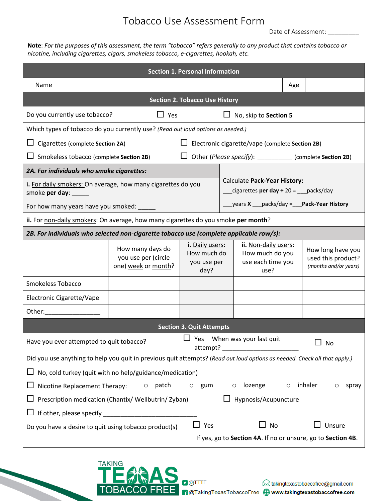## Tobacco Use Assessment Form

Date of Assessment: \_

**Note**: *For the purposes of this assessment, the term "tobacco" refers generally to any product that contains tobacco or nicotine, including cigarettes, cigars, smokeless tobacco, e-cigarettes, hookah, etc.*

| <b>Section 1. Personal Information</b>                                                                                                                                                                                        |                                            |                                    |                                                                              |                                             |  |
|-------------------------------------------------------------------------------------------------------------------------------------------------------------------------------------------------------------------------------|--------------------------------------------|------------------------------------|------------------------------------------------------------------------------|---------------------------------------------|--|
| Name                                                                                                                                                                                                                          |                                            |                                    |                                                                              | Age                                         |  |
| <b>Section 2. Tobacco Use History</b>                                                                                                                                                                                         |                                            |                                    |                                                                              |                                             |  |
| Do you currently use tobacco?<br>$\Box$ Yes                                                                                                                                                                                   |                                            |                                    | $\Box$ No, skip to Section 5                                                 |                                             |  |
| Which types of tobacco do you currently use? (Read out loud options as needed.)                                                                                                                                               |                                            |                                    |                                                                              |                                             |  |
| Electronic cigarette/vape (complete Section 2B)<br>Cigarettes (complete Section 2A)                                                                                                                                           |                                            |                                    |                                                                              |                                             |  |
| □ Other (Please specify): __________ (complete Section 2B)<br>$\Box$ Smokeless tobacco (complete Section 2B)                                                                                                                  |                                            |                                    |                                                                              |                                             |  |
| 2A. For individuals who smoke cigarettes:                                                                                                                                                                                     |                                            |                                    |                                                                              |                                             |  |
| i. For daily smokers: On average, how many cigarettes do you                                                                                                                                                                  |                                            |                                    | Calculate Pack-Year History:<br>cigarettes per day $\div$ 20 = ___ packs/day |                                             |  |
| smoke per day:                                                                                                                                                                                                                |                                            |                                    |                                                                              |                                             |  |
| _____ years X ____ packs/day = ____ Pack-Year History<br>For how many years have you smoked: _____                                                                                                                            |                                            |                                    |                                                                              |                                             |  |
| ii. For non-daily smokers: On average, how many cigarettes do you smoke per month?                                                                                                                                            |                                            |                                    |                                                                              |                                             |  |
| 2B. For individuals who selected non-cigarette tobacco use (complete applicable row/s):                                                                                                                                       |                                            |                                    |                                                                              |                                             |  |
|                                                                                                                                                                                                                               | How many days do                           | i. Daily users:<br>How much do     | ii. Non-daily users:<br>How much do you                                      | How long have you                           |  |
|                                                                                                                                                                                                                               | you use per (circle<br>one) week or month? | you use per<br>day?                | use each time you<br>use?                                                    | used this product?<br>(months and/or years) |  |
| <b>Smokeless Tobacco</b>                                                                                                                                                                                                      |                                            |                                    |                                                                              |                                             |  |
| Electronic Cigarette/Vape                                                                                                                                                                                                     |                                            |                                    |                                                                              |                                             |  |
| Other: when the control of the control of the control of the control of the control of the control of the control of the control of the control of the control of the control of the control of the control of the control of |                                            |                                    |                                                                              |                                             |  |
| <b>Section 3. Quit Attempts</b>                                                                                                                                                                                               |                                            |                                    |                                                                              |                                             |  |
| Have you ever attempted to quit tobacco?<br>attempt?                                                                                                                                                                          |                                            | $\Box$ Yes When was your last quit | No                                                                           |                                             |  |
| Did you use anything to help you quit in previous quit attempts? (Read out loud options as needed. Check all that apply.)                                                                                                     |                                            |                                    |                                                                              |                                             |  |
| No, cold turkey (quit with no help/guidance/medication)                                                                                                                                                                       |                                            |                                    |                                                                              |                                             |  |
| patch<br>lozenge<br>inhaler<br>Nicotine Replacement Therapy:<br>$\circ$<br>gum<br>$\circ$<br>O<br>spray<br>O                                                                                                                  |                                            |                                    |                                                                              |                                             |  |
| Prescription medication (Chantix/ Wellbutrin/ Zyban)<br>Hypnosis/Acupuncture                                                                                                                                                  |                                            |                                    |                                                                              |                                             |  |
| If other, please specify                                                                                                                                                                                                      |                                            |                                    |                                                                              |                                             |  |
| $\Box$ Yes<br>No<br>$\Box$<br>Unsure<br>Do you have a desire to quit using tobacco product(s)                                                                                                                                 |                                            |                                    |                                                                              |                                             |  |
| If yes, go to Section 4A. If no or unsure, go to Section 4B.                                                                                                                                                                  |                                            |                                    |                                                                              |                                             |  |